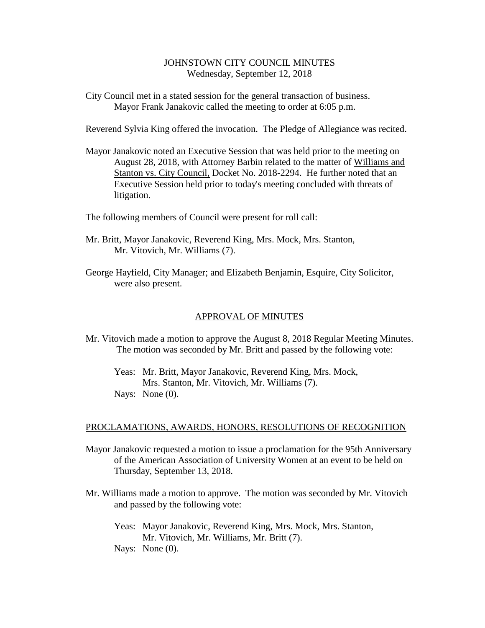## JOHNSTOWN CITY COUNCIL MINUTES Wednesday, September 12, 2018

City Council met in a stated session for the general transaction of business. Mayor Frank Janakovic called the meeting to order at 6:05 p.m.

Reverend Sylvia King offered the invocation. The Pledge of Allegiance was recited.

Mayor Janakovic noted an Executive Session that was held prior to the meeting on August 28, 2018, with Attorney Barbin related to the matter of Williams and Stanton vs. City Council, Docket No. 2018-2294. He further noted that an Executive Session held prior to today's meeting concluded with threats of litigation.

The following members of Council were present for roll call:

- Mr. Britt, Mayor Janakovic, Reverend King, Mrs. Mock, Mrs. Stanton, Mr. Vitovich, Mr. Williams (7).
- George Hayfield, City Manager; and Elizabeth Benjamin, Esquire, City Solicitor, were also present.

### APPROVAL OF MINUTES

- Mr. Vitovich made a motion to approve the August 8, 2018 Regular Meeting Minutes. The motion was seconded by Mr. Britt and passed by the following vote:
	- Yeas: Mr. Britt, Mayor Janakovic, Reverend King, Mrs. Mock, Mrs. Stanton, Mr. Vitovich, Mr. Williams (7). Nays: None  $(0)$ .

#### PROCLAMATIONS, AWARDS, HONORS, RESOLUTIONS OF RECOGNITION

- Mayor Janakovic requested a motion to issue a proclamation for the 95th Anniversary of the American Association of University Women at an event to be held on Thursday, September 13, 2018.
- Mr. Williams made a motion to approve. The motion was seconded by Mr. Vitovich and passed by the following vote:
	- Yeas: Mayor Janakovic, Reverend King, Mrs. Mock, Mrs. Stanton, Mr. Vitovich, Mr. Williams, Mr. Britt (7).
	- Nays: None (0).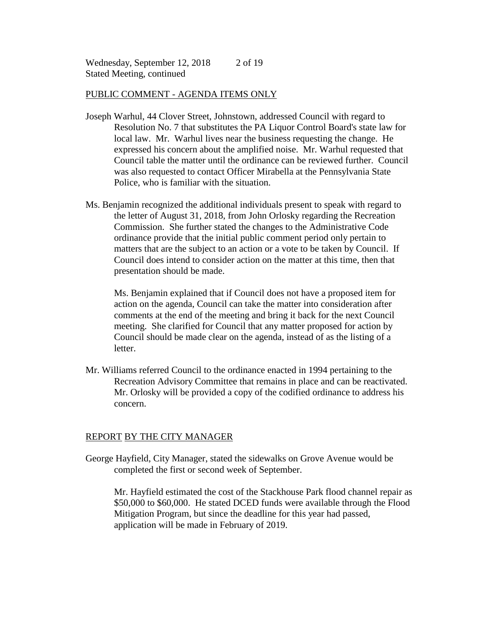Wednesday, September 12, 2018 Stated Meeting, continued 2 of 19

#### PUBLIC COMMENT - AGENDA ITEMS ONLY

- Joseph Warhul, 44 Clover Street, Johnstown, addressed Council with regard to Resolution No. 7 that substitutes the PA Liquor Control Board's state law for local law. Mr. Warhul lives near the business requesting the change. He expressed his concern about the amplified noise. Mr. Warhul requested that Council table the matter until the ordinance can be reviewed further. Council was also requested to contact Officer Mirabella at the Pennsylvania State Police, who is familiar with the situation.
- Ms. Benjamin recognized the additional individuals present to speak with regard to the letter of August 31, 2018, from John Orlosky regarding the Recreation Commission. She further stated the changes to the Administrative Code ordinance provide that the initial public comment period only pertain to matters that are the subject to an action or a vote to be taken by Council. If Council does intend to consider action on the matter at this time, then that presentation should be made.

Ms. Benjamin explained that if Council does not have a proposed item for action on the agenda, Council can take the matter into consideration after comments at the end of the meeting and bring it back for the next Council meeting. She clarified for Council that any matter proposed for action by Council should be made clear on the agenda, instead of as the listing of a letter.

Mr. Williams referred Council to the ordinance enacted in 1994 pertaining to the Recreation Advisory Committee that remains in place and can be reactivated. Mr. Orlosky will be provided a copy of the codified ordinance to address his concern.

### REPORT BY THE CITY MANAGER

George Hayfield, City Manager, stated the sidewalks on Grove Avenue would be completed the first or second week of September.

Mr. Hayfield estimated the cost of the Stackhouse Park flood channel repair as \$50,000 to \$60,000. He stated DCED funds were available through the Flood Mitigation Program, but since the deadline for this year had passed, application will be made in February of 2019.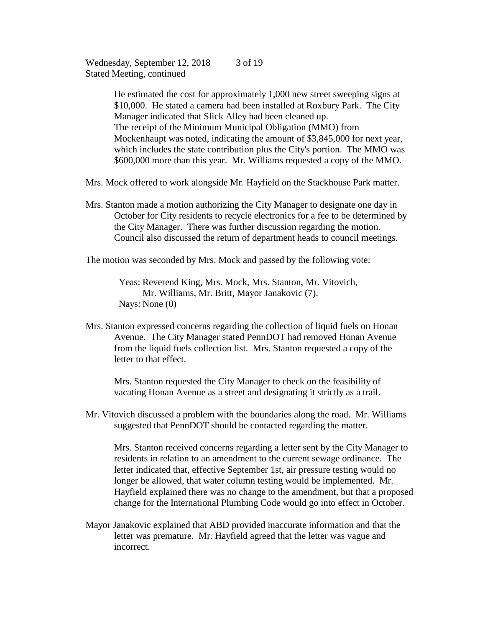Wednesday, September 12, 2018 Stated Meeting, continued 3 of 19

> He estimated the cost for approximately 1,000 new street sweeping signs at \$10,000. He stated a camera had been installed at Roxbury Park. The City Manager indicated that Slick Alley had been cleaned up. The receipt of the Minimum Municipal Obligation (MMO) from Mockenhaupt was noted, indicating the amount of \$3,845,000 for next year, which includes the state contribution plus the City's portion. The MMO was \$600,000 more than this year. Mr. Williams requested a copy of the MMO.

Mrs. Mock offered to work alongside Mr. Hayfield on the Stackhouse Park matter.

Mrs. Stanton made a motion authorizing the City Manager to designate one day in October for City residents to recycle electronics for a fee to be determined by the City Manager. There was further discussion regarding the motion. Council also discussed the return of department heads to council meetings.

The motion was seconded by Mrs. Mock and passed by the following vote:

Yeas: Reverend King, Mrs. Mock, Mrs. Stanton, Mr. Vitovich, Mr. Williams, Mr. Britt, Mayor Janakovic (7). Nays: None (0)

Mrs. Stanton expressed concerns regarding the collection of liquid fuels on Honan Avenue. The City Manager stated PennDOT had removed Honan Avenue from the liquid fuels collection list. Mrs. Stanton requested a copy of the letter to that effect.

Mrs. Stanton requested the City Manager to check on the feasibility of vacating Honan Avenue as a street and designating it strictly as a trail.

Mr. Vitovich discussed a problem with the boundaries along the road. Mr. Williams suggested that PennDOT should be contacted regarding the matter.

Mrs. Stanton received concerns regarding a letter sent by the City Manager to residents in relation to an amendment to the current sewage ordinance. The letter indicated that, effective September 1st, air pressure testing would no longer be allowed, that water column testing would be implemented. Mr. Hayfield explained there was no change to the amendment, but that a proposed change for the International Plumbing Code would go into effect in October.

Mayor Janakovic explained that ABD provided inaccurate information and that the letter was premature. Mr. Hayfield agreed that the letter was vague and incorrect.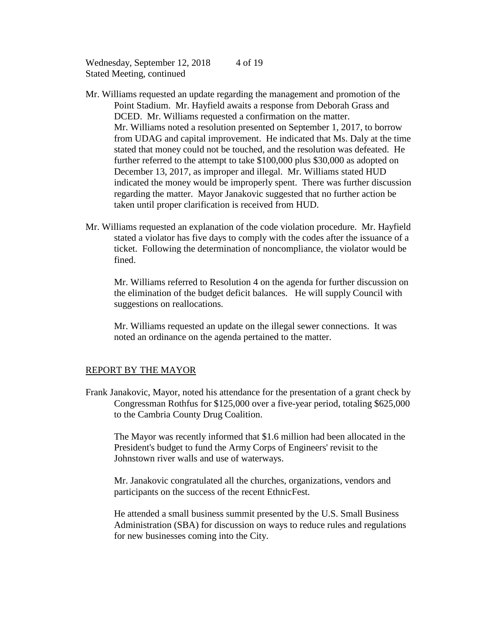Wednesday, September 12, 2018 Stated Meeting, continued 4 of 19

- Mr. Williams requested an update regarding the management and promotion of the Point Stadium. Mr. Hayfield awaits a response from Deborah Grass and DCED. Mr. Williams requested a confirmation on the matter. Mr. Williams noted a resolution presented on September 1, 2017, to borrow from UDAG and capital improvement. He indicated that Ms. Daly at the time stated that money could not be touched, and the resolution was defeated. He further referred to the attempt to take \$100,000 plus \$30,000 as adopted on December 13, 2017, as improper and illegal. Mr. Williams stated HUD indicated the money would be improperly spent. There was further discussion regarding the matter. Mayor Janakovic suggested that no further action be taken until proper clarification is received from HUD.
- Mr. Williams requested an explanation of the code violation procedure. Mr. Hayfield stated a violator has five days to comply with the codes after the issuance of a ticket. Following the determination of noncompliance, the violator would be fined.

 Mr. Williams referred to Resolution 4 on the agenda for further discussion on the elimination of the budget deficit balances. He will supply Council with suggestions on reallocations.

Mr. Williams requested an update on the illegal sewer connections. It was noted an ordinance on the agenda pertained to the matter.

### REPORT BY THE MAYOR

Frank Janakovic, Mayor, noted his attendance for the presentation of a grant check by Congressman Rothfus for \$125,000 over a five-year period, totaling \$625,000 to the Cambria County Drug Coalition.

The Mayor was recently informed that \$1.6 million had been allocated in the President's budget to fund the Army Corps of Engineers' revisit to the Johnstown river walls and use of waterways.

Mr. Janakovic congratulated all the churches, organizations, vendors and participants on the success of the recent EthnicFest.

He attended a small business summit presented by the U.S. Small Business Administration (SBA) for discussion on ways to reduce rules and regulations for new businesses coming into the City.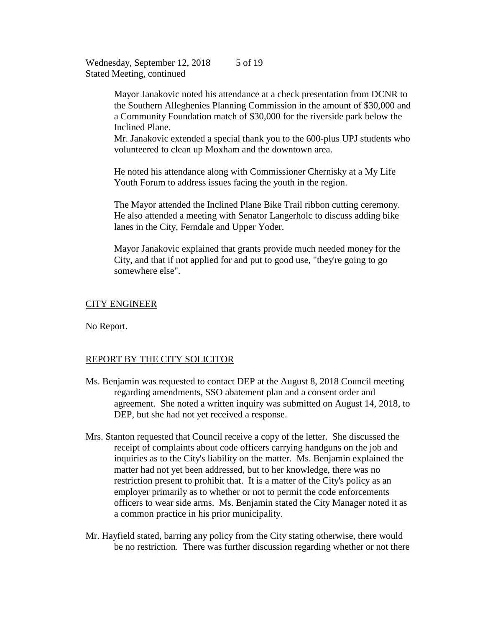Wednesday, September 12, 2018 Stated Meeting, continued 5 of 19

> Mayor Janakovic noted his attendance at a check presentation from DCNR to the Southern Alleghenies Planning Commission in the amount of \$30,000 and a Community Foundation match of \$30,000 for the riverside park below the Inclined Plane.

> Mr. Janakovic extended a special thank you to the 600-plus UPJ students who volunteered to clean up Moxham and the downtown area.

He noted his attendance along with Commissioner Chernisky at a My Life Youth Forum to address issues facing the youth in the region.

The Mayor attended the Inclined Plane Bike Trail ribbon cutting ceremony. He also attended a meeting with Senator Langerholc to discuss adding bike lanes in the City, Ferndale and Upper Yoder.

Mayor Janakovic explained that grants provide much needed money for the City, and that if not applied for and put to good use, "they're going to go somewhere else".

### CITY ENGINEER

No Report.

### REPORT BY THE CITY SOLICITOR

- Ms. Benjamin was requested to contact DEP at the August 8, 2018 Council meeting regarding amendments, SSO abatement plan and a consent order and agreement. She noted a written inquiry was submitted on August 14, 2018, to DEP, but she had not yet received a response.
- Mrs. Stanton requested that Council receive a copy of the letter. She discussed the receipt of complaints about code officers carrying handguns on the job and inquiries as to the City's liability on the matter. Ms. Benjamin explained the matter had not yet been addressed, but to her knowledge, there was no restriction present to prohibit that. It is a matter of the City's policy as an employer primarily as to whether or not to permit the code enforcements officers to wear side arms. Ms. Benjamin stated the City Manager noted it as a common practice in his prior municipality.
- Mr. Hayfield stated, barring any policy from the City stating otherwise, there would be no restriction. There was further discussion regarding whether or not there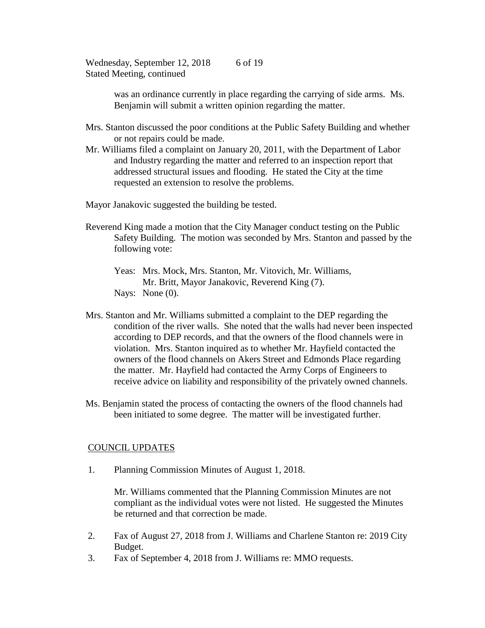Wednesday, September 12, 2018 Stated Meeting, continued 6 of 19

> was an ordinance currently in place regarding the carrying of side arms. Ms. Benjamin will submit a written opinion regarding the matter.

Mrs. Stanton discussed the poor conditions at the Public Safety Building and whether or not repairs could be made.

Mr. Williams filed a complaint on January 20, 2011, with the Department of Labor and Industry regarding the matter and referred to an inspection report that addressed structural issues and flooding. He stated the City at the time requested an extension to resolve the problems.

Mayor Janakovic suggested the building be tested.

- Reverend King made a motion that the City Manager conduct testing on the Public Safety Building. The motion was seconded by Mrs. Stanton and passed by the following vote:
	- Yeas: Mrs. Mock, Mrs. Stanton, Mr. Vitovich, Mr. Williams, Mr. Britt, Mayor Janakovic, Reverend King (7). Nays: None  $(0)$ .
- Mrs. Stanton and Mr. Williams submitted a complaint to the DEP regarding the condition of the river walls. She noted that the walls had never been inspected according to DEP records, and that the owners of the flood channels were in violation. Mrs. Stanton inquired as to whether Mr. Hayfield contacted the owners of the flood channels on Akers Street and Edmonds Place regarding the matter. Mr. Hayfield had contacted the Army Corps of Engineers to receive advice on liability and responsibility of the privately owned channels.
- Ms. Benjamin stated the process of contacting the owners of the flood channels had been initiated to some degree. The matter will be investigated further.

### COUNCIL UPDATES

1. Planning Commission Minutes of August 1, 2018.

Mr. Williams commented that the Planning Commission Minutes are not compliant as the individual votes were not listed. He suggested the Minutes be returned and that correction be made.

- 2. Fax of August 27, 2018 from J. Williams and Charlene Stanton re: 2019 City Budget.
- 3. Fax of September 4, 2018 from J. Williams re: MMO requests.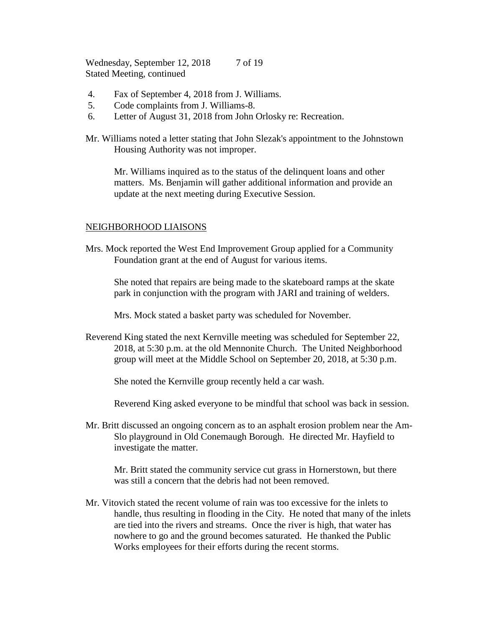Wednesday, September 12, 2018 Stated Meeting, continued 7 of 19

- 4. Fax of September 4, 2018 from J. Williams.
- 5. Code complaints from J. Williams-8.
- 6. Letter of August 31, 2018 from John Orlosky re: Recreation.

Mr. Williams noted a letter stating that John Slezak's appointment to the Johnstown Housing Authority was not improper.

Mr. Williams inquired as to the status of the delinquent loans and other matters. Ms. Benjamin will gather additional information and provide an update at the next meeting during Executive Session.

### NEIGHBORHOOD LIAISONS

Mrs. Mock reported the West End Improvement Group applied for a Community Foundation grant at the end of August for various items.

She noted that repairs are being made to the skateboard ramps at the skate park in conjunction with the program with JARI and training of welders.

Mrs. Mock stated a basket party was scheduled for November.

Reverend King stated the next Kernville meeting was scheduled for September 22, 2018, at 5:30 p.m. at the old Mennonite Church. The United Neighborhood group will meet at the Middle School on September 20, 2018, at 5:30 p.m.

She noted the Kernville group recently held a car wash.

Reverend King asked everyone to be mindful that school was back in session.

Mr. Britt discussed an ongoing concern as to an asphalt erosion problem near the Am-Slo playground in Old Conemaugh Borough. He directed Mr. Hayfield to investigate the matter.

Mr. Britt stated the community service cut grass in Hornerstown, but there was still a concern that the debris had not been removed.

Mr. Vitovich stated the recent volume of rain was too excessive for the inlets to handle, thus resulting in flooding in the City. He noted that many of the inlets are tied into the rivers and streams. Once the river is high, that water has nowhere to go and the ground becomes saturated. He thanked the Public Works employees for their efforts during the recent storms.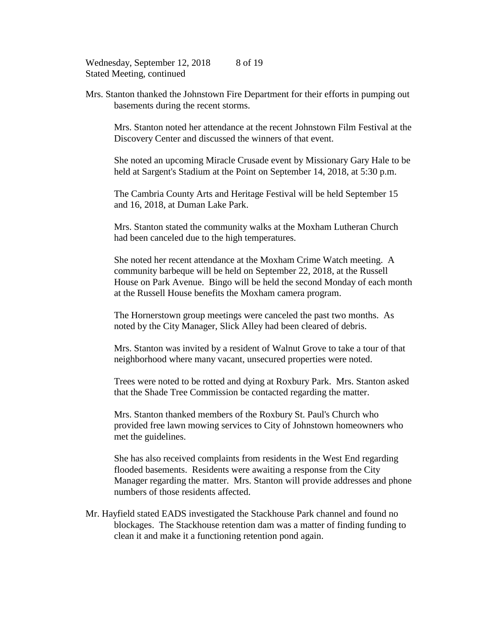Wednesday, September 12, 2018 Stated Meeting, continued 8 of 19

Mrs. Stanton thanked the Johnstown Fire Department for their efforts in pumping out basements during the recent storms.

Mrs. Stanton noted her attendance at the recent Johnstown Film Festival at the Discovery Center and discussed the winners of that event.

She noted an upcoming Miracle Crusade event by Missionary Gary Hale to be held at Sargent's Stadium at the Point on September 14, 2018, at 5:30 p.m.

The Cambria County Arts and Heritage Festival will be held September 15 and 16, 2018, at Duman Lake Park.

Mrs. Stanton stated the community walks at the Moxham Lutheran Church had been canceled due to the high temperatures.

She noted her recent attendance at the Moxham Crime Watch meeting. A community barbeque will be held on September 22, 2018, at the Russell House on Park Avenue. Bingo will be held the second Monday of each month at the Russell House benefits the Moxham camera program.

The Hornerstown group meetings were canceled the past two months. As noted by the City Manager, Slick Alley had been cleared of debris.

Mrs. Stanton was invited by a resident of Walnut Grove to take a tour of that neighborhood where many vacant, unsecured properties were noted.

Trees were noted to be rotted and dying at Roxbury Park. Mrs. Stanton asked that the Shade Tree Commission be contacted regarding the matter.

Mrs. Stanton thanked members of the Roxbury St. Paul's Church who provided free lawn mowing services to City of Johnstown homeowners who met the guidelines.

She has also received complaints from residents in the West End regarding flooded basements. Residents were awaiting a response from the City Manager regarding the matter. Mrs. Stanton will provide addresses and phone numbers of those residents affected.

Mr. Hayfield stated EADS investigated the Stackhouse Park channel and found no blockages. The Stackhouse retention dam was a matter of finding funding to clean it and make it a functioning retention pond again.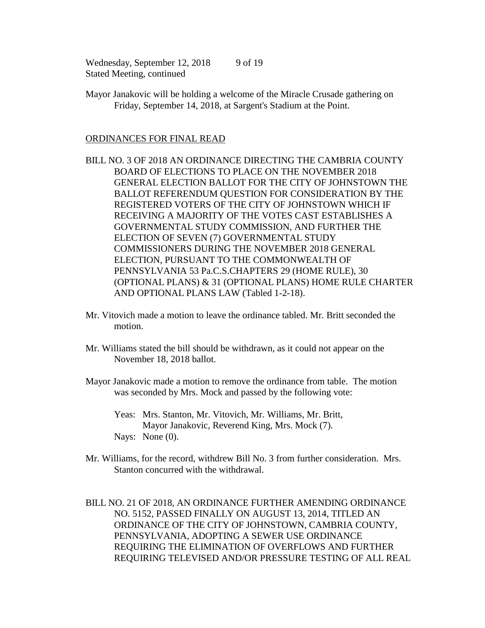Wednesday, September 12, 2018 Stated Meeting, continued 9 of 19

Mayor Janakovic will be holding a welcome of the Miracle Crusade gathering on Friday, September 14, 2018, at Sargent's Stadium at the Point.

### ORDINANCES FOR FINAL READ

- BILL NO. 3 OF 2018 AN ORDINANCE DIRECTING THE CAMBRIA COUNTY BOARD OF ELECTIONS TO PLACE ON THE NOVEMBER 2018 GENERAL ELECTION BALLOT FOR THE CITY OF JOHNSTOWN THE BALLOT REFERENDUM QUESTION FOR CONSIDERATION BY THE REGISTERED VOTERS OF THE CITY OF JOHNSTOWN WHICH IF RECEIVING A MAJORITY OF THE VOTES CAST ESTABLISHES A GOVERNMENTAL STUDY COMMISSION, AND FURTHER THE ELECTION OF SEVEN (7) GOVERNMENTAL STUDY COMMISSIONERS DURING THE NOVEMBER 2018 GENERAL ELECTION, PURSUANT TO THE COMMONWEALTH OF PENNSYLVANIA 53 Pa.C.S.CHAPTERS 29 (HOME RULE), 30 (OPTIONAL PLANS) & 31 (OPTIONAL PLANS) HOME RULE CHARTER AND OPTIONAL PLANS LAW (Tabled 1-2-18).
- Mr. Vitovich made a motion to leave the ordinance tabled. Mr. Britt seconded the motion.
- Mr. Williams stated the bill should be withdrawn, as it could not appear on the November 18, 2018 ballot.
- Mayor Janakovic made a motion to remove the ordinance from table. The motion was seconded by Mrs. Mock and passed by the following vote:
	- Yeas: Mrs. Stanton, Mr. Vitovich, Mr. Williams, Mr. Britt, Mayor Janakovic, Reverend King, Mrs. Mock (7). Nays: None  $(0)$ .
- Mr. Williams, for the record, withdrew Bill No. 3 from further consideration. Mrs. Stanton concurred with the withdrawal.

BILL NO. 21 OF 2018, AN ORDINANCE FURTHER AMENDING ORDINANCE NO. 5152, PASSED FINALLY ON AUGUST 13, 2014, TITLED AN ORDINANCE OF THE CITY OF JOHNSTOWN, CAMBRIA COUNTY, PENNSYLVANIA, ADOPTING A SEWER USE ORDINANCE REQUIRING THE ELIMINATION OF OVERFLOWS AND FURTHER REQUIRING TELEVISED AND/OR PRESSURE TESTING OF ALL REAL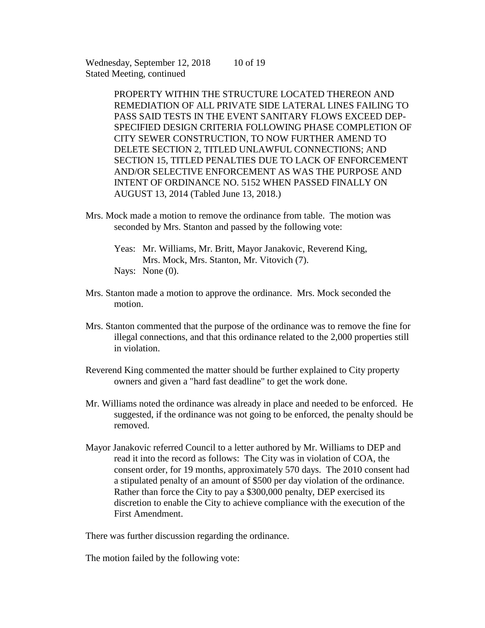Wednesday, September 12, 2018 Stated Meeting, continued 10 of 19

> PROPERTY WITHIN THE STRUCTURE LOCATED THEREON AND REMEDIATION OF ALL PRIVATE SIDE LATERAL LINES FAILING TO PASS SAID TESTS IN THE EVENT SANITARY FLOWS EXCEED DEP-SPECIFIED DESIGN CRITERIA FOLLOWING PHASE COMPLETION OF CITY SEWER CONSTRUCTION, TO NOW FURTHER AMEND TO DELETE SECTION 2, TITLED UNLAWFUL CONNECTIONS; AND SECTION 15, TITLED PENALTIES DUE TO LACK OF ENFORCEMENT AND/OR SELECTIVE ENFORCEMENT AS WAS THE PURPOSE AND INTENT OF ORDINANCE NO. 5152 WHEN PASSED FINALLY ON AUGUST 13, 2014 (Tabled June 13, 2018.)

- Mrs. Mock made a motion to remove the ordinance from table. The motion was seconded by Mrs. Stanton and passed by the following vote:
	- Yeas: Mr. Williams, Mr. Britt, Mayor Janakovic, Reverend King, Mrs. Mock, Mrs. Stanton, Mr. Vitovich (7). Nays: None  $(0)$ .
- Mrs. Stanton made a motion to approve the ordinance. Mrs. Mock seconded the motion.
- Mrs. Stanton commented that the purpose of the ordinance was to remove the fine for illegal connections, and that this ordinance related to the 2,000 properties still in violation.
- Reverend King commented the matter should be further explained to City property owners and given a "hard fast deadline" to get the work done.
- Mr. Williams noted the ordinance was already in place and needed to be enforced. He suggested, if the ordinance was not going to be enforced, the penalty should be removed.
- Mayor Janakovic referred Council to a letter authored by Mr. Williams to DEP and read it into the record as follows: The City was in violation of COA, the consent order, for 19 months, approximately 570 days. The 2010 consent had a stipulated penalty of an amount of \$500 per day violation of the ordinance. Rather than force the City to pay a \$300,000 penalty, DEP exercised its discretion to enable the City to achieve compliance with the execution of the First Amendment.

There was further discussion regarding the ordinance.

The motion failed by the following vote: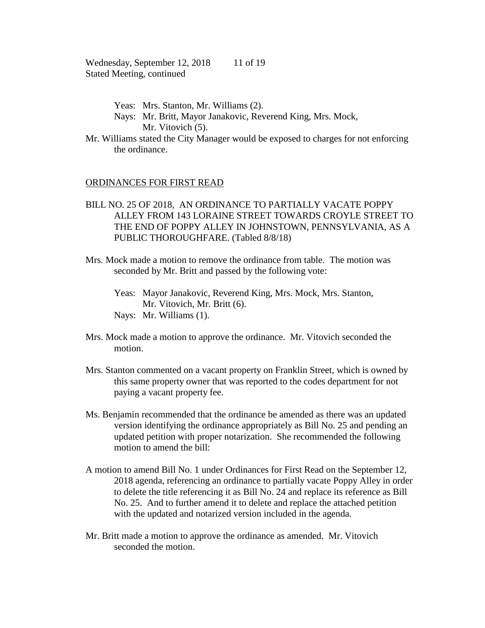Wednesday, September 12, 2018 11 of 19 Stated Meeting, continued

- Yeas: Mrs. Stanton, Mr. Williams (2).
- Nays: Mr. Britt, Mayor Janakovic, Reverend King, Mrs. Mock, Mr. Vitovich  $(5)$ .
- Mr. Williams stated the City Manager would be exposed to charges for not enforcing the ordinance.

### ORDINANCES FOR FIRST READ

## BILL NO. 25 OF 2018, AN ORDINANCE TO PARTIALLY VACATE POPPY ALLEY FROM 143 LORAINE STREET TOWARDS CROYLE STREET TO THE END OF POPPY ALLEY IN JOHNSTOWN, PENNSYLVANIA, AS A PUBLIC THOROUGHFARE. (Tabled 8/8/18)

Mrs. Mock made a motion to remove the ordinance from table. The motion was seconded by Mr. Britt and passed by the following vote:

Yeas: Mayor Janakovic, Reverend King, Mrs. Mock, Mrs. Stanton, Mr. Vitovich, Mr. Britt (6). Nays: Mr. Williams (1).

- Mrs. Mock made a motion to approve the ordinance. Mr. Vitovich seconded the motion.
- Mrs. Stanton commented on a vacant property on Franklin Street, which is owned by this same property owner that was reported to the codes department for not paying a vacant property fee.
- Ms. Benjamin recommended that the ordinance be amended as there was an updated version identifying the ordinance appropriately as Bill No. 25 and pending an updated petition with proper notarization. She recommended the following motion to amend the bill:
- A motion to amend Bill No. 1 under Ordinances for First Read on the September 12, 2018 agenda, referencing an ordinance to partially vacate Poppy Alley in order to delete the title referencing it as Bill No. 24 and replace its reference as Bill No. 25. And to further amend it to delete and replace the attached petition with the updated and notarized version included in the agenda.
- Mr. Britt made a motion to approve the ordinance as amended. Mr. Vitovich seconded the motion.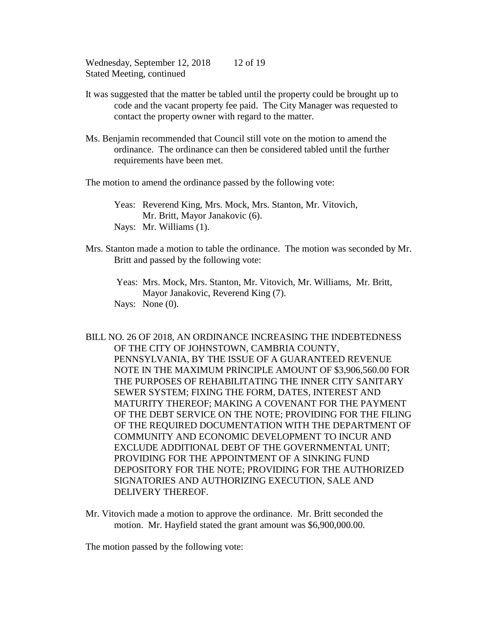Wednesday, September 12, 2018 12 of 19 Stated Meeting, continued

- It was suggested that the matter be tabled until the property could be brought up to code and the vacant property fee paid. The City Manager was requested to contact the property owner with regard to the matter.
- Ms. Benjamin recommended that Council still vote on the motion to amend the ordinance. The ordinance can then be considered tabled until the further requirements have been met.

The motion to amend the ordinance passed by the following vote:

Yeas: Reverend King, Mrs. Mock, Mrs. Stanton, Mr. Vitovich, Mr. Britt, Mayor Janakovic (6). Nays: Mr. Williams (1).

Mrs. Stanton made a motion to table the ordinance. The motion was seconded by Mr. Britt and passed by the following vote:

Yeas: Mrs. Mock, Mrs. Stanton, Mr. Vitovich, Mr. Williams, Mr. Britt, Mayor Janakovic, Reverend King (7). Nays: None  $(0)$ .

- BILL NO. 26 OF 2018, AN ORDINANCE INCREASING THE INDEBTEDNESS OF THE CITY OF JOHNSTOWN, CAMBRIA COUNTY, PENNSYLVANIA, BY THE ISSUE OF A GUARANTEED REVENUE NOTE IN THE MAXIMUM PRINCIPLE AMOUNT OF \$3,906,560.00 FOR THE PURPOSES OF REHABILITATING THE INNER CITY SANITARY SEWER SYSTEM; FIXING THE FORM, DATES, INTEREST AND MATURITY THEREOF; MAKING A COVENANT FOR THE PAYMENT OF THE DEBT SERVICE ON THE NOTE; PROVIDING FOR THE FILING OF THE REQUIRED DOCUMENTATION WITH THE DEPARTMENT OF COMMUNITY AND ECONOMIC DEVELOPMENT TO INCUR AND EXCLUDE ADDITIONAL DEBT OF THE GOVERNMENTAL UNIT; PROVIDING FOR THE APPOINTMENT OF A SINKING FUND DEPOSITORY FOR THE NOTE; PROVIDING FOR THE AUTHORIZED SIGNATORIES AND AUTHORIZING EXECUTION, SALE AND DELIVERY THEREOF.
- Mr. Vitovich made a motion to approve the ordinance. Mr. Britt seconded the motion. Mr. Hayfield stated the grant amount was \$6,900,000.00.

The motion passed by the following vote: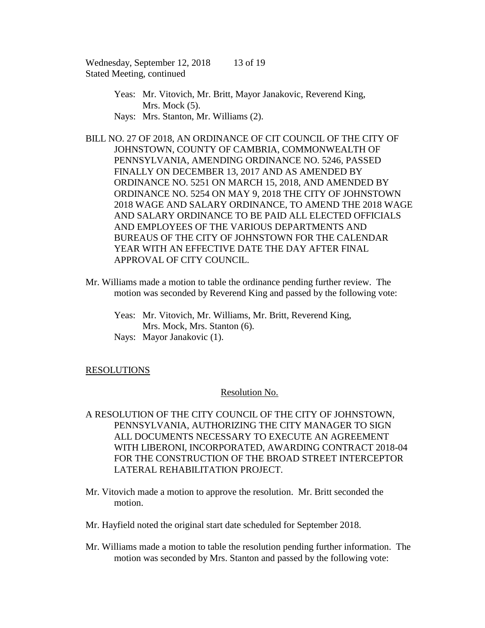Wednesday, September 12, 2018 13 of 19 Stated Meeting, continued

- Yeas: Mr. Vitovich, Mr. Britt, Mayor Janakovic, Reverend King, Mrs. Mock  $(5)$ .
- Nays: Mrs. Stanton, Mr. Williams (2).
- BILL NO. 27 OF 2018, AN ORDINANCE OF CIT COUNCIL OF THE CITY OF JOHNSTOWN, COUNTY OF CAMBRIA, COMMONWEALTH OF PENNSYLVANIA, AMENDING ORDINANCE NO. 5246, PASSED FINALLY ON DECEMBER 13, 2017 AND AS AMENDED BY ORDINANCE NO. 5251 ON MARCH 15, 2018, AND AMENDED BY ORDINANCE NO. 5254 ON MAY 9, 2018 THE CITY OF JOHNSTOWN 2018 WAGE AND SALARY ORDINANCE, TO AMEND THE 2018 WAGE AND SALARY ORDINANCE TO BE PAID ALL ELECTED OFFICIALS AND EMPLOYEES OF THE VARIOUS DEPARTMENTS AND BUREAUS OF THE CITY OF JOHNSTOWN FOR THE CALENDAR YEAR WITH AN EFFECTIVE DATE THE DAY AFTER FINAL APPROVAL OF CITY COUNCIL.
- Mr. Williams made a motion to table the ordinance pending further review. The motion was seconded by Reverend King and passed by the following vote:
	- Yeas: Mr. Vitovich, Mr. Williams, Mr. Britt, Reverend King, Mrs. Mock, Mrs. Stanton (6).
	- Nays: Mayor Janakovic (1).

# RESOLUTIONS

## Resolution No.

- A RESOLUTION OF THE CITY COUNCIL OF THE CITY OF JOHNSTOWN, PENNSYLVANIA, AUTHORIZING THE CITY MANAGER TO SIGN ALL DOCUMENTS NECESSARY TO EXECUTE AN AGREEMENT WITH LIBERONI, INCORPORATED, AWARDING CONTRACT 2018-04 FOR THE CONSTRUCTION OF THE BROAD STREET INTERCEPTOR LATERAL REHABILITATION PROJECT.
- Mr. Vitovich made a motion to approve the resolution. Mr. Britt seconded the motion.
- Mr. Hayfield noted the original start date scheduled for September 2018.
- Mr. Williams made a motion to table the resolution pending further information. The motion was seconded by Mrs. Stanton and passed by the following vote: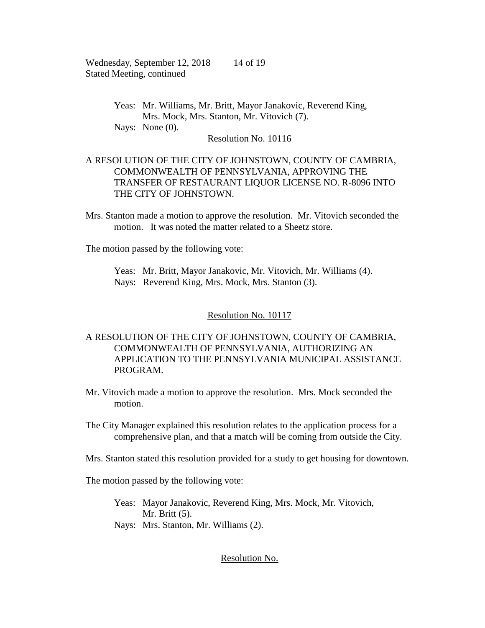Wednesday, September 12, 2018 14 of 19 Stated Meeting, continued

> Yeas: Mr. Williams, Mr. Britt, Mayor Janakovic, Reverend King, Mrs. Mock, Mrs. Stanton, Mr. Vitovich (7). Nays: None  $(0)$ .

Resolution No. 10116

## A RESOLUTION OF THE CITY OF JOHNSTOWN, COUNTY OF CAMBRIA, COMMONWEALTH OF PENNSYLVANIA, APPROVING THE TRANSFER OF RESTAURANT LIQUOR LICENSE NO. R-8096 INTO THE CITY OF JOHNSTOWN.

Mrs. Stanton made a motion to approve the resolution. Mr. Vitovich seconded the motion. It was noted the matter related to a Sheetz store.

The motion passed by the following vote:

Yeas: Mr. Britt, Mayor Janakovic, Mr. Vitovich, Mr. Williams (4). Nays: Reverend King, Mrs. Mock, Mrs. Stanton (3).

## Resolution No. 10117

# A RESOLUTION OF THE CITY OF JOHNSTOWN, COUNTY OF CAMBRIA, COMMONWEALTH OF PENNSYLVANIA, AUTHORIZING AN APPLICATION TO THE PENNSYLVANIA MUNICIPAL ASSISTANCE PROGRAM.

Mr. Vitovich made a motion to approve the resolution. Mrs. Mock seconded the motion.

The City Manager explained this resolution relates to the application process for a comprehensive plan, and that a match will be coming from outside the City.

Mrs. Stanton stated this resolution provided for a study to get housing for downtown.

The motion passed by the following vote:

Yeas: Mayor Janakovic, Reverend King, Mrs. Mock, Mr. Vitovich, Mr. Britt (5). Nays: Mrs. Stanton, Mr. Williams (2).

## Resolution No.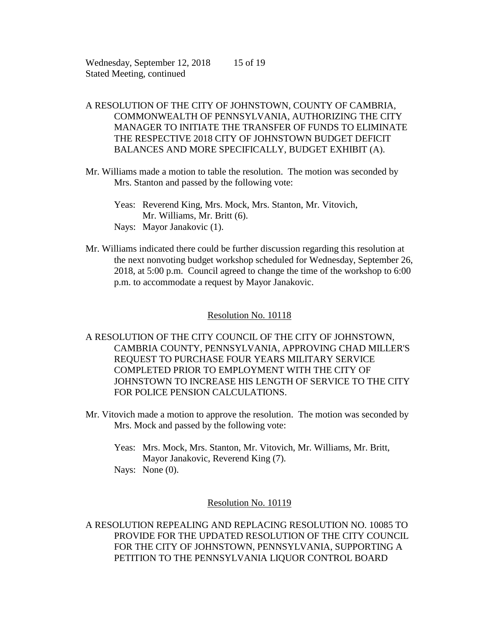Wednesday, September 12, 2018 15 of 19 Stated Meeting, continued

# A RESOLUTION OF THE CITY OF JOHNSTOWN, COUNTY OF CAMBRIA, COMMONWEALTH OF PENNSYLVANIA, AUTHORIZING THE CITY MANAGER TO INITIATE THE TRANSFER OF FUNDS TO ELIMINATE THE RESPECTIVE 2018 CITY OF JOHNSTOWN BUDGET DEFICIT BALANCES AND MORE SPECIFICALLY, BUDGET EXHIBIT (A).

Mr. Williams made a motion to table the resolution. The motion was seconded by Mrs. Stanton and passed by the following vote:

Mr. Williams indicated there could be further discussion regarding this resolution at the next nonvoting budget workshop scheduled for Wednesday, September 26, 2018, at 5:00 p.m. Council agreed to change the time of the workshop to 6:00 p.m. to accommodate a request by Mayor Janakovic.

## Resolution No. 10118

A RESOLUTION OF THE CITY COUNCIL OF THE CITY OF JOHNSTOWN, CAMBRIA COUNTY, PENNSYLVANIA, APPROVING CHAD MILLER'S REQUEST TO PURCHASE FOUR YEARS MILITARY SERVICE COMPLETED PRIOR TO EMPLOYMENT WITH THE CITY OF JOHNSTOWN TO INCREASE HIS LENGTH OF SERVICE TO THE CITY FOR POLICE PENSION CALCULATIONS.

- Mr. Vitovich made a motion to approve the resolution. The motion was seconded by Mrs. Mock and passed by the following vote:
	- Yeas: Mrs. Mock, Mrs. Stanton, Mr. Vitovich, Mr. Williams, Mr. Britt, Mayor Janakovic, Reverend King (7).

Nays: None (0).

### Resolution No. 10119

A RESOLUTION REPEALING AND REPLACING RESOLUTION NO. 10085 TO PROVIDE FOR THE UPDATED RESOLUTION OF THE CITY COUNCIL FOR THE CITY OF JOHNSTOWN, PENNSYLVANIA, SUPPORTING A PETITION TO THE PENNSYLVANIA LIQUOR CONTROL BOARD

Yeas: Reverend King, Mrs. Mock, Mrs. Stanton, Mr. Vitovich, Mr. Williams, Mr. Britt (6). Nays: Mayor Janakovic (1).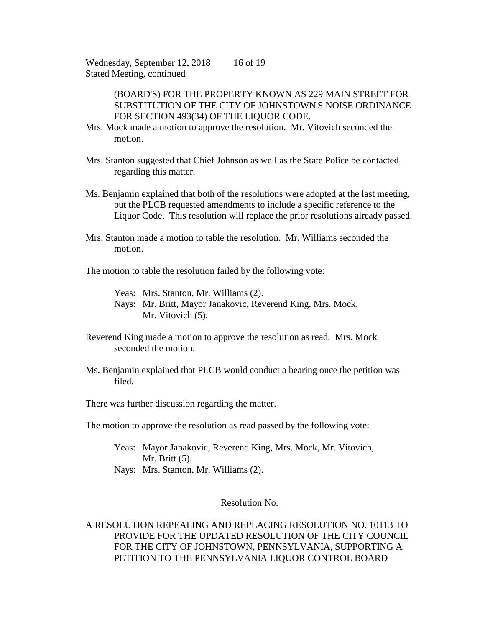Wednesday, September 12, 2018 16 of 19 Stated Meeting, continued

> (BOARD'S) FOR THE PROPERTY KNOWN AS 229 MAIN STREET FOR SUBSTITUTION OF THE CITY OF JOHNSTOWN'S NOISE ORDINANCE FOR SECTION 493(34) OF THE LIQUOR CODE.

- Mrs. Mock made a motion to approve the resolution. Mr. Vitovich seconded the motion.
- Mrs. Stanton suggested that Chief Johnson as well as the State Police be contacted regarding this matter.
- Ms. Benjamin explained that both of the resolutions were adopted at the last meeting, but the PLCB requested amendments to include a specific reference to the Liquor Code. This resolution will replace the prior resolutions already passed.
- Mrs. Stanton made a motion to table the resolution. Mr. Williams seconded the motion.
- The motion to table the resolution failed by the following vote:

Yeas: Mrs. Stanton, Mr. Williams (2). Nays: Mr. Britt, Mayor Janakovic, Reverend King, Mrs. Mock, Mr. Vitovich  $(5)$ .

- Reverend King made a motion to approve the resolution as read. Mrs. Mock seconded the motion.
- Ms. Benjamin explained that PLCB would conduct a hearing once the petition was filed.

There was further discussion regarding the matter.

The motion to approve the resolution as read passed by the following vote:

- Yeas: Mayor Janakovic, Reverend King, Mrs. Mock, Mr. Vitovich, Mr. Britt (5).
- Nays: Mrs. Stanton, Mr. Williams (2).

### Resolution No.

A RESOLUTION REPEALING AND REPLACING RESOLUTION NO. 10113 TO PROVIDE FOR THE UPDATED RESOLUTION OF THE CITY COUNCIL FOR THE CITY OF JOHNSTOWN, PENNSYLVANIA, SUPPORTING A PETITION TO THE PENNSYLVANIA LIQUOR CONTROL BOARD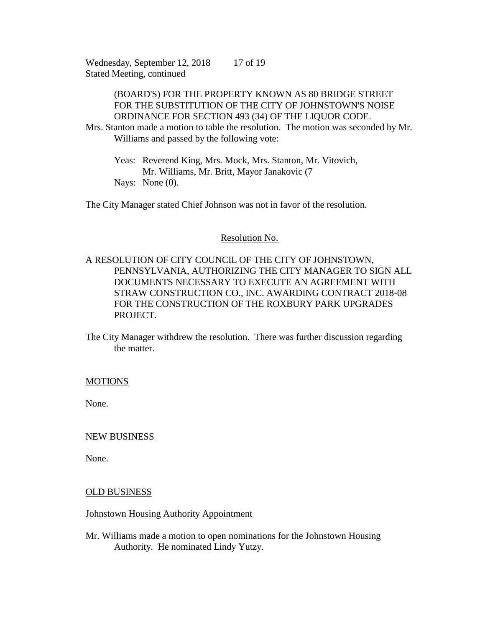Wednesday, September 12, 2018 17 of 19 Stated Meeting, continued

## (BOARD'S) FOR THE PROPERTY KNOWN AS 80 BRIDGE STREET FOR THE SUBSTITUTION OF THE CITY OF JOHNSTOWN'S NOISE ORDINANCE FOR SECTION 493 (34) OF THE LIQUOR CODE.

Mrs. Stanton made a motion to table the resolution. The motion was seconded by Mr. Williams and passed by the following vote:

Yeas: Reverend King, Mrs. Mock, Mrs. Stanton, Mr. Vitovich, Mr. Williams, Mr. Britt, Mayor Janakovic (7 Nays: None (0).

The City Manager stated Chief Johnson was not in favor of the resolution.

#### Resolution No.

A RESOLUTION OF CITY COUNCIL OF THE CITY OF JOHNSTOWN, PENNSYLVANIA, AUTHORIZING THE CITY MANAGER TO SIGN ALL DOCUMENTS NECESSARY TO EXECUTE AN AGREEMENT WITH STRAW CONSTRUCTION CO., INC. AWARDING CONTRACT 2018-08 FOR THE CONSTRUCTION OF THE ROXBURY PARK UPGRADES PROJECT.

The City Manager withdrew the resolution. There was further discussion regarding the matter.

#### **MOTIONS**

None.

### NEW BUSINESS

None.

#### OLD BUSINESS

### Johnstown Housing Authority Appointment

Mr. Williams made a motion to open nominations for the Johnstown Housing Authority. He nominated Lindy Yutzy.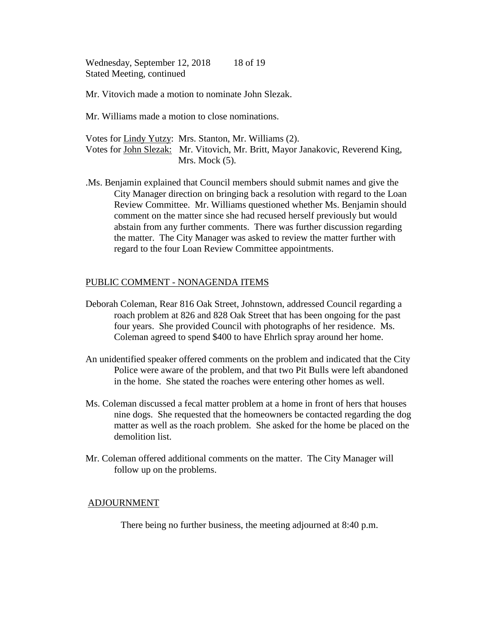Wednesday, September 12, 2018 Stated Meeting, continued 18 of 19

Mr. Vitovich made a motion to nominate John Slezak.

Mr. Williams made a motion to close nominations.

Votes for Lindy Yutzy: Mrs. Stanton, Mr. Williams (2). Votes for John Slezak: Mr. Vitovich, Mr. Britt, Mayor Janakovic, Reverend King, Mrs. Mock  $(5)$ .

.Ms. Benjamin explained that Council members should submit names and give the City Manager direction on bringing back a resolution with regard to the Loan Review Committee. Mr. Williams questioned whether Ms. Benjamin should comment on the matter since she had recused herself previously but would abstain from any further comments. There was further discussion regarding the matter. The City Manager was asked to review the matter further with regard to the four Loan Review Committee appointments.

### PUBLIC COMMENT - NONAGENDA ITEMS

- Deborah Coleman, Rear 816 Oak Street, Johnstown, addressed Council regarding a roach problem at 826 and 828 Oak Street that has been ongoing for the past four years. She provided Council with photographs of her residence. Ms. Coleman agreed to spend \$400 to have Ehrlich spray around her home.
- An unidentified speaker offered comments on the problem and indicated that the City Police were aware of the problem, and that two Pit Bulls were left abandoned in the home. She stated the roaches were entering other homes as well.
- Ms. Coleman discussed a fecal matter problem at a home in front of hers that houses nine dogs. She requested that the homeowners be contacted regarding the dog matter as well as the roach problem. She asked for the home be placed on the demolition list.
- Mr. Coleman offered additional comments on the matter. The City Manager will follow up on the problems.

### ADJOURNMENT

There being no further business, the meeting adjourned at 8:40 p.m.